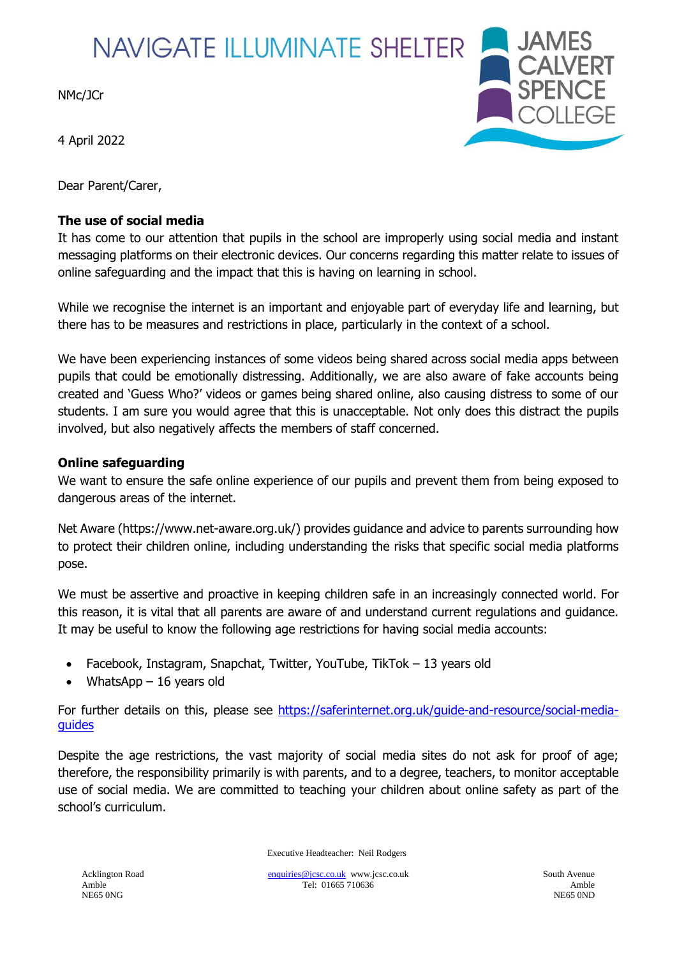## **NAVIGATE ILLUMINATE SHELTER**

NMc/JCr

4 April 2022

Dear Parent/Carer,

## **The use of social media**



It has come to our attention that pupils in the school are improperly using social media and instant messaging platforms on their electronic devices. Our concerns regarding this matter relate to issues of online safeguarding and the impact that this is having on learning in school.

While we recognise the internet is an important and enjoyable part of everyday life and learning, but there has to be measures and restrictions in place, particularly in the context of a school.

We have been experiencing instances of some videos being shared across social media apps between pupils that could be emotionally distressing. Additionally, we are also aware of fake accounts being created and 'Guess Who?' videos or games being shared online, also causing distress to some of our students. I am sure you would agree that this is unacceptable. Not only does this distract the pupils involved, but also negatively affects the members of staff concerned.

## **Online safeguarding**

We want to ensure the safe online experience of our pupils and prevent them from being exposed to dangerous areas of the internet.

Net Aware (https://www.net-aware.org.uk/) provides guidance and advice to parents surrounding how to protect their children online, including understanding the risks that specific social media platforms pose.

We must be assertive and proactive in keeping children safe in an increasingly connected world. For this reason, it is vital that all parents are aware of and understand current regulations and guidance. It may be useful to know the following age restrictions for having social media accounts:

- Facebook, Instagram, Snapchat, Twitter, YouTube, TikTok 13 years old
- WhatsApp  $-16$  years old

For further details on this, please see [https://saferinternet.org.uk/guide-and-resource/social-media](https://saferinternet.org.uk/guide-and-resource/social-media-guides)[guides](https://saferinternet.org.uk/guide-and-resource/social-media-guides)

Despite the age restrictions, the vast majority of social media sites do not ask for proof of age; therefore, the responsibility primarily is with parents, and to a degree, teachers, to monitor acceptable use of social media. We are committed to teaching your children about online safety as part of the school's curriculum.

Executive Headteacher: Neil Rodgers

Acklington Road **Enquiries** Communities Circuit Enterprise Communities Circuit Enterprise Communities Circuit Enterprise Communities Circuit Enterprise Communities Circuit Enterprise Communities Circuit Enterprise Communit Amble Tel: 01665 710636 Amble NE65 0NG NE65 0NG